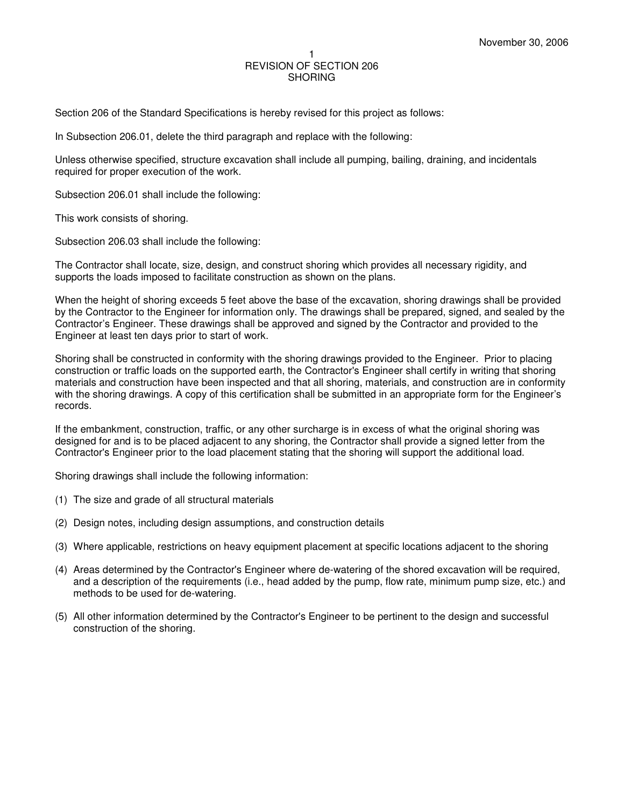## 1 REVISION OF SECTION 206 **SHORING**

Section 206 of the Standard Specifications is hereby revised for this project as follows:

In Subsection 206.01, delete the third paragraph and replace with the following:

Unless otherwise specified, structure excavation shall include all pumping, bailing, draining, and incidentals required for proper execution of the work.

Subsection 206.01 shall include the following:

This work consists of shoring.

Subsection 206.03 shall include the following:

The Contractor shall locate, size, design, and construct shoring which provides all necessary rigidity, and supports the loads imposed to facilitate construction as shown on the plans.

When the height of shoring exceeds 5 feet above the base of the excavation, shoring drawings shall be provided by the Contractor to the Engineer for information only. The drawings shall be prepared, signed, and sealed by the Contractor's Engineer. These drawings shall be approved and signed by the Contractor and provided to the Engineer at least ten days prior to start of work.

Shoring shall be constructed in conformity with the shoring drawings provided to the Engineer. Prior to placing construction or traffic loads on the supported earth, the Contractor's Engineer shall certify in writing that shoring materials and construction have been inspected and that all shoring, materials, and construction are in conformity with the shoring drawings. A copy of this certification shall be submitted in an appropriate form for the Engineer's records.

If the embankment, construction, traffic, or any other surcharge is in excess of what the original shoring was designed for and is to be placed adjacent to any shoring, the Contractor shall provide a signed letter from the Contractor's Engineer prior to the load placement stating that the shoring will support the additional load.

Shoring drawings shall include the following information:

- (1) The size and grade of all structural materials
- (2) Design notes, including design assumptions, and construction details
- (3) Where applicable, restrictions on heavy equipment placement at specific locations adjacent to the shoring
- (4) Areas determined by the Contractor's Engineer where de-watering of the shored excavation will be required, and a description of the requirements (i.e., head added by the pump, flow rate, minimum pump size, etc.) and methods to be used for de-watering.
- (5) All other information determined by the Contractor's Engineer to be pertinent to the design and successful construction of the shoring.